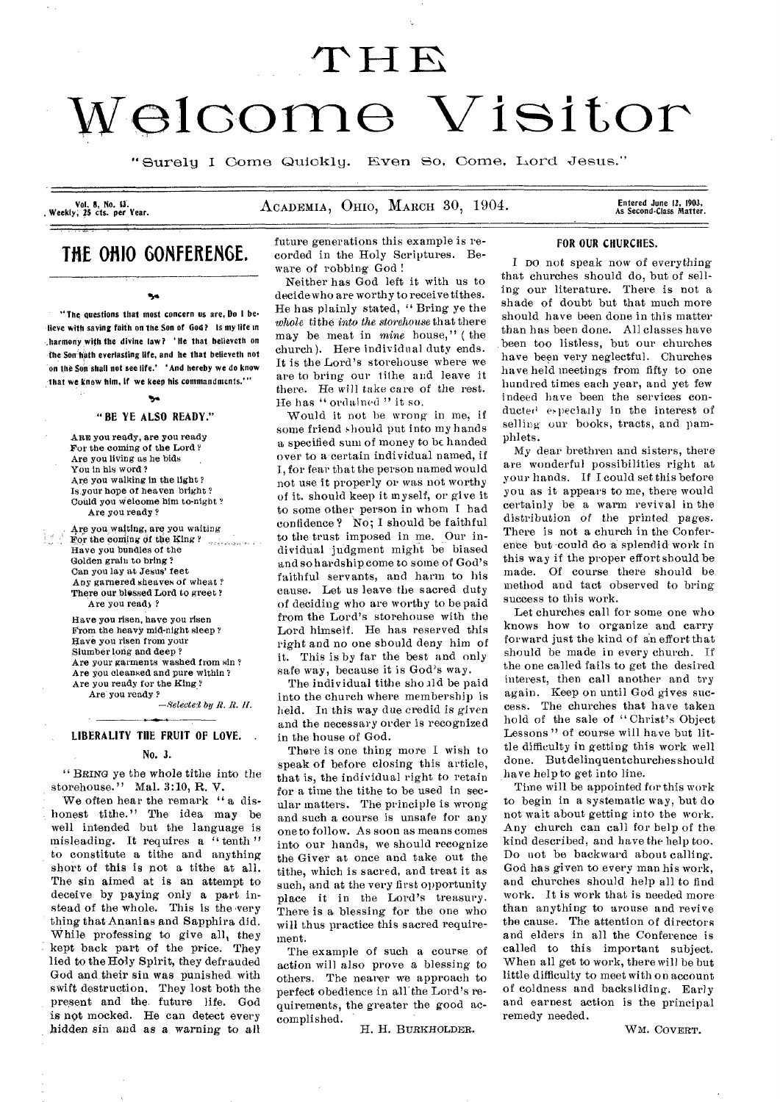# **elcomo Visitor**

"Surely I Come Quickly. Even So, Come, Lord Jesus."

**Vol. 8, No. 13.** 

ACADEMIA, OHIO, MARCH 30, 1904.

Entered June 12, 1903,<br>As Second-Class Matter.

# **THE OHIO GONFERENGE.**

It"

**"The questions that most concern us are, Do I be• lieve with saving faith on the Son of God? Is my life in .harmony with the divine law? He that believeth on the Son bath everlasting life, and he that believeth not on the Son shall not see life.' ' And hereby we do know that we know him, If we keep his commandments.'"** 

# 95^.

# "BE YE ALSO READY."

ARE you ready, are you ready For the coming of the Lord ? Are you living as he bids You in his word? Are you walking in the light? Is your hope of heaven bright ? Could you welcome him to-night ? Are you ready ?

Are you waiting, are you waiting For the coming of the King  $Y$ Have you bundles of the Golden grain to bring? Can you lay at Jesus' feet Any garnered sheaves of wheat ? There our blessed Lord to greet ? Are you ready?

Have you risen, have you risen From the heavy mid-night sleep? Have you risen from your Slumber long and deep ? Are your garments washed from sin ? Are you cleansed and pure within ? Are you ready for the King ? Are you ready ?

*—Seleetel by R. R. II.* 

# LIBERALITY THE FRUIT OF LOVE. .

# No. 3.

" BRING ye the whole tithe into the storehouse." Mal. 3:10, R. V.

We often hear the remark " a dishonest tithe." The idea may be well intended but the language is misleading. It requires a " tenth" to constitute a tithe and anything short of this is pot a tithe at all. The sin aimed at is an attempt to deceive by paying only a part instead of the whole. This is the very thing that Ananias and Sapphira did. While professing to give all, they kept back part of the price. They lied to the Holy Spirit, they defrauded God and their sin was punished with swift destruction. They lost both the present and the. future life. God is not mocked. He can detect every hidden sin and as a *warning* to all

future generations this example is recorded in the Holy Scriptures. Beware of robbing God !

Neither has God left it with us to decide who are worthy to receive tithes. He has plainly stated, " Bring ye the *whole* tithe *into the storehouse* that there may be meat in *mine* house," ( the church). Here individual duty ends. It is the Lord's storehouse where we are to bring our tithe and leave it there. He will take care of the rest. He has "ordained " it so.

Would it not be wrong in me, if some friend should put into my hands a specified sum of money to be handed over to a certain individual named, if I, for fear that the person named would not use it properly or was not worthy of it. should keep it myself, or give it to some other person in whom I had confidence ? No; I should be faithful to the trust imposed in me. Our individual judgment might be biased and so hardship come to some of God's faithful servants, and harm to his cause. Let us leave the sacred duty of deciding who are worthy to be paid from the Lord's storehouse with the Lord himself. He has reserved this right and no one should deny him of it. This is by far the best and only safe way, because it is God's way.

The individual tithe sho zld be paid into the church where membership is held. In this *way* due credid is *given*  and the necessary order is recognized in the house of God.

There is one thing more I wish to speak of before closing this article, that is, the individual right to retain for a time the tithe to be used in secular matters. The principle is wrong and such a course is unsafe for any one to follow. As soon as means comes into our hands, we should recognize the Giver at once and take out the tithe, which is sacred, and treat it as such, and at the very first opportunity place it in the Lord's treasury. There is a blessing for the one who will thus practice this sacred requirement.

The example of such a course of action will also prove a blessing to others. The nearer we approach to perfect obedience in all the Lord's requirements, the greater the good accomplished.

H. H. BURKHOLDER.

# FOR OUR CHURCHES.

I DO not speak now of everything that churches should do, but of selling our literature. There is not a shade of doubt but that much more should have been done in this matter than has been done. All classes have been too listless, but our churches have been very neglectful. Churches have held meetings from fifty to one hundred times each year, and yet few indeed have been the services conducted especially in the interest of selling our books, tracts, and pamphlets.

My dear brethren and sisters, there are wonderful possibilities right at your hands. If I could set this before you as it appears to me, there would certainly be a warm revival in the distribution of the printed pages. There is not a church in the Conference but could do a splendid work in this way if the proper effort should be made. Of course there should be method and tact observed to bring success to this work.

Let churches call for some one who knows how to organize and carry forward just the kind of an effort that should be made in every church. If the one called fails to get the desired interest, then call another and try again. Keep on until God gives success. The churches that have taken hold of the sale of "Christ's Object Lessons" of course will have but little difficulty in getting this work well done. But delinquentchurches should have help to get into line.

Time will be appointed for this work to begin in a systematic way, but do not wait about getting into the work. Any church can call for help of the kind described, and have the help too. Do not be backward about calling. God has given to every man his work, and churches should help all to find work. It is work that is needed more than anything to arouse and revive the cause. The attention of directors and elders in all the Conference is called to this important subject. When all get to work, there will be but little difficulty to meet with on account of coldness and backsliding. Early and earnest action is the principal remedy needed.

WM. COVERT.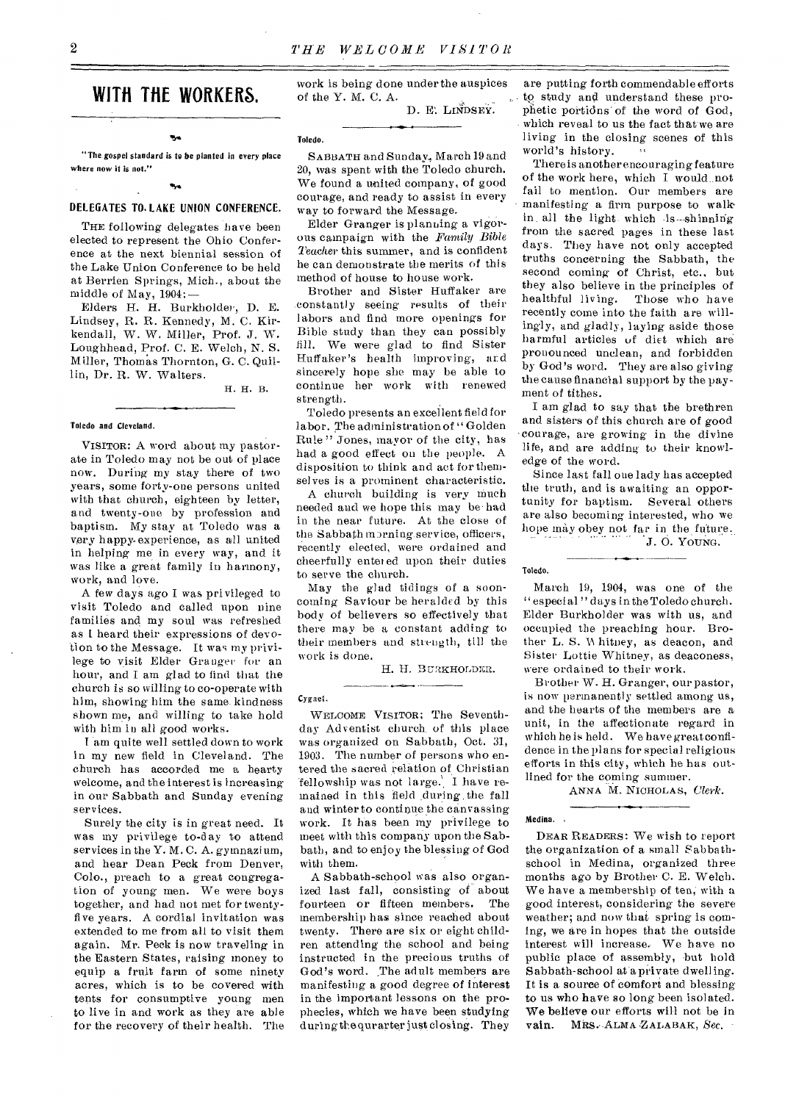# **WITH THE WORKERS.**

Is. "The gospel standard is to be planted in every place where now it is not."

# DELEGATES TO. LAKE UNION CONFERENCE.

THE following delegates have been elected to represent the Ohio Conference at the next biennial session of the Lake Union Conference to be held at Berrien Springs, Mich., about the middle of May, 1904:—

Elders H. H. Burkholder, D. E. Lindsey, R. R. Kennedy, M. C. Kirkendall, W. W. Miller, Prof. J. W. Loughhead, Prof. C. E. Welch, N. S. Miller, Thomas Thornton, G. C. Quillin, Dr. R. W. Walters.

H. H. B.

# Toledo and Cleveland.

VISITOR: A word about my pastorate in Toledo may not be out of place now. During my stay there of two years, some forty-one persons united with that church, eighteen by letter, and twenty-one by profession and baptism. My stay at Toledo was a very happy-experience, as all united in helping me in every way, and it was like a great family in harmony, work, and love.

A few days ago I was privileged to visit Toledo and called upon nine families and my soul was refreshed as I heard their expressions of devotion to the Message. It was my privilege to visit Elder Granger for an hour, and I am glad to find that the church is so willing to co-operate with him, showing him the same kindness shown me, and willing to take hold with him in all good works.

I 'am quite well settled down to work in my new field in Cleveland. The church has accorded me a hearty welcome, and the interest is increasing in our Sabbath and Sunday evening sery ices.

Surely the city is in great need. It was my privilege to-day to attend services in the Y. M. C. A. gymnazium, and hear Dean Peck from Denver, Colo., preach to a great congregation of young men. We were boys together, and had not met for twentyfive years. A cordial invitation was extended to me from all to visit them again. Mr. Peck is now traveling in the Eastern States, raising money to equip a fruit farm of some ninety acres, which is to be covered with tents for consumptive young men to live in and work as they are able for the recovery of their health. The work is being done under the auspices of the Y. M. C. A. D. E. LINDSEY.

Toledo.

SABBATH and Sunday, March 19 and 20, was spent with the Toledo church. We found a united company, of good courage, and ready to assist in every way to forward the Message.

Elder Granger is planning a vigorous campaign with the *Family Bible Teacher* this summer, and is confident he can demonstrate the merits of this method of house to house work.

Brother and Sister Huffaker are .constantly seeing results of their labors and find more openings for Bible study than they can possibly fill. We were glad to find Sister Huffaker's health improving, and sincerely hope she may be able to continue her work with renewed strength.

Toledo presents an excellent field for labor. The administration of "Golden Rule" Jones, mayor of the city, has had a good effect on the people. A disposition to think and act for themselves is a prominent characteristic.

A church building is very much needed and we hope this may be. had in the near future. At the close of the Sabbath morning service, officers, recently elected, were ordained and cheerfully enter ed upon their duties to serve the church.

May the glad tidings of a sooncoming Saviour be heralded by this body of believers so effectively that there may be a constant adding to their members and strength, till the work is done.

and an an annual company of the company of

H. H. BURKHOLDER.

# Cygnet.

WELCOME VISITOR; The Seventhday Adventist church. of this place was organized on Sabbath, Oct. 31, 1903. The number of persons who entered the sacred relation of Christian fellowship was not large. I have remained in this field .during the fall and winter to continue the canvassing work. It has been my privilege to meet with this company upon the Sabbath, and to enjoy the blessing of God with them.

A Sabbath-school was also organized last fall, consisting of about<br>fourteen or fifteen members. The fourteen or fifteen members. membership has since reached about twenty. There are six or eight children attending the school and being instructed in the precious truths of God's word. The adult members are manifesting a good degree of interest in the important lessons on the prophecies, which we have been studying during the qurarter just closing. They

are putting forth commendable efforts to study and understand these prophetic portions of the word of God, which reveal to us the fact that we are living in the closing scenes of this world's history.

There is another encouraging feature of the work here, which I would, aot fail to mention. Our members are manifesting a firm purpose to walkin all the light which is-shinning from the sacred pages in these last days. They have not only accepted truths concerning the Sabbath, the second coming of Christ, etc., but they also believe in the principles of healthful living. Those who have recently come into the faith are willingly, and gladly, laying aside those harmful articles of diet which are pronounced unclean, and forbidden by God's word. They are also giving the cause financial support by the payment of tithes.

I am glad to say that the brethren and sisters of this church are of good courage, are growing in the divine life, and are adding to their knowledge of the word.

Since last fall one lady has accepted the truth, and is awaiting an opportunity for baptism. Several others are also becoming interested, who we hope may obey not far in the future. *J.* 0. YOUNG.

Toledo.

March 19, 1904, was one of the "especial "days in the Toledo church. Elder Burkholder was with us, and occupied the preaching hour. Brother L. S. Whitney, as deacon, and Sister Lottie Whitney, as deaconess, were ordained to their work.

Brother W. H. Granger, our pastor, is now permanently settled among us, and the hearts of the members are a unit, in the affectionate regard in which he is held. We have great confidence in the plans for special religious efforts in this city, which he has outlined for the coming summer.

ANNA M. NICHOLAS, *Clerk.* 

### Medina.

DEAR READERS: We wish to report the organization of a small Sabbathschool in Medina, organized three months ago by Brother C. E. Welch. We have a membership of ten, with a good interest, considering the severe weather; and now that spring is coming, we are in hopes that the outside interest will increase. We have no public place of assembly, but hold Sabbath-school at a private dwelling. It is a source of comfort and blessing to us who have so long been isolated. We believe our efforts will not be in vain. MRS. ALMA ZALABAK, Sec.  $\cdot$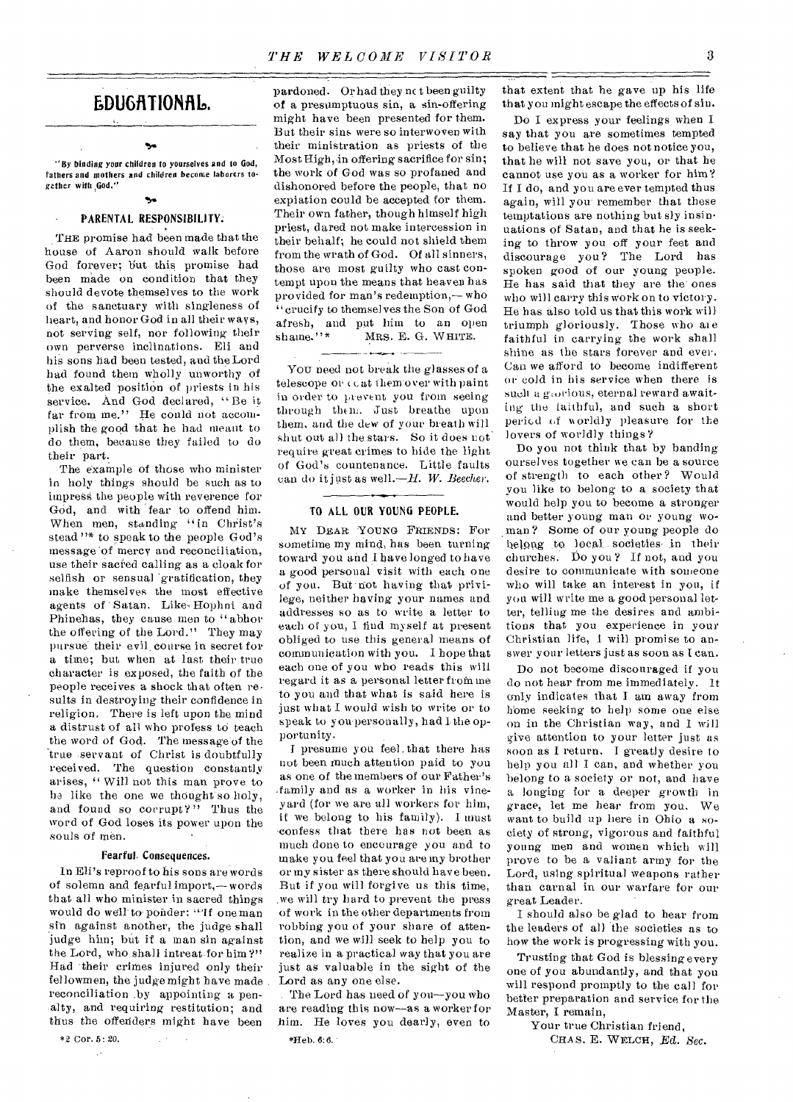# EDUGATIONAL.

"By binding your children to yourselves and to God, fathers and mothers and children became laborers together with God."

# 54 PARENTAL RESPONSIBILITY:

THE promise had been made that the house of Aaron should walk before God forever; but this promise had been made on condition that they should devote themselves to the work of the sanctuary with singleness of heart, and honor God in all their ways, not serving self, nor following their own perverse inclinations. Eli and his sons had been tested, and the Lord had found them wholly unworthy of the exalted position of priests in his service. And God declared, "Be it far from me." He could not accomplish the good that he had meant to do them, because they failed to do their part.

The example of those who minister in holy things should be such as to impress the people with reverence for God, and with fear to offend him. When men, standing "in Christ's stead "\* to speak to the people God's message 'of mercy and reconciliation, use their sacred calling as a cloak for selfish or sensual 'gratification, they make themselves the most effective agents of Satan. Like, Hophni and Phinehas, they cause men to "abhor the offering of the Lord." They may pursue their evil, course in secret for a time; but when at last their true character is exposed, the faith of the people receives a shock that often re• sults in destroying their confidence in religion. There is left upon the mind a distrust of all who profess to teach the word of God. The message of the true servant of Christ is doubtfully received. The question constantly arises, " Will not this man prove to ha like the one we thought so holy, and found so corrupt?" Thus the word of God loses its power upon the souls of men.

# Fearful. Consequences.

In Eli's reproof to his sons are words of solemn and fearful import,—words that all who minister in sacred things would do well to- ponder: "'If one man sin against another, the judge shall judge him; but if a man sin against the Lord, who shall intreat-for him?" Had their crimes injured only their fellowmen, the judge might have made reconciliation .by appointing a pen- -alty, and requiring restitution; and thus the offenders might have been

 $\mathcal{L}^{(1)}$ 

\*2 Cor. 5: 20.  $\mathbb{R}^3$ 

pardoned. Or had they nc t been guilty of a presumptuous sin, a sin-offering might have been presented for them. But their sins were so interwoven with their ministration as priests of the Most High, in offering sacrifice for sin; the work of God was so profaned and dishonored before the people, that no expiation could be accepted for them. Their own father, though himself high priest, dared not make intercession in their behalf; he could not shield them from the wrath of God. Of all sinners, those are most guilty who cast contempt upon the means that heaven has provided for man's redemption,— who "crucify to themselves the Son of God afresh, and put him to an open<br>shame."\* MRS. E. G. WHITE. MRS. E. G. WHITE.

You need not break the glasses of a telescope or ceat themover with paint in order to prevent you from seeing through them. Just breathe upon them, and the dew of your breath will shut out all the stars. So it does not. require great crimes to hide the light of God's countenance. Little faults can do it just as well.—H. *W. Beecher.* 

# TO ALL OUR YOUNG PEOPLE.

MY DEAR YOUNG FRIENDS: For sometime my mind, has been turning toward you and I have longed to have a good personal visit with each one of you. But 'not having that privilege, neither having your names and addresses so as to write a letter to each of you, I find myself at present obliged to use this general means of communication with you. I hope that each one of you who reads this will regard it as a personal letter from me to you and that what is said here is just what I would wish to write or to speak to you-personally, had Ithe opportunity.

I presume you feel, that there has not been much attention paid to you as one of the members of our Father's .family and as a worker in his vineyard (for we are all workers for him, if we belong to his family). I must confess that there has not been as much done to encourage you and to make you feel that you are my brother or my sister as there should have been. But if you will forgive us this time. .we will try hard to prevent the press of work in the other departments from robbing you of your share of attention, and we will- seek to help you to realize in a practical way that you are just as valuable in the sight of the Lord as any one else.

. The Lord has need of you—you who are reading this now—as a worker for him. He loves you dearly, even to

that extent that he gave up his life that you might escape the effects of sin.

Do I express your feelings when I say that you are sometimes tempted to believe that he does not notice you, that he will not save you, or that he cannot use you as a worker for him? If I do, and you are ever tempted thus again, will you-remember that these temptations are nothing but sly insinuations of Satan, and that he is seeking to throw you off your feet and discourage you? The Lord has spoken good of our young people. He has said that they are the' ones who will carry this work on to victory. He has also told us that this work will triumph gloriously. Those who ate faithful in carrying the work shall shine as the stars forever and ever. Can we afford to become indifferent or cold in his service when there is such a giorious, eternal reward awaiting the faithful, and such a short period of worldly pleasure for the lovers of worldly things?

Do you not think that by banding ourselves together we can be a source of strength to each other? Would you like to belong to a society that would help you to become a stronger and better young man or young woman ? Some of our young people do belong to local . societies- in their churches. Do you ? If not, and you desire to communicate with someone who will take an interest in you, if you will write me a good personal letter, telling me the desires and ambitions that you experience in your Christian life, 1 will promise to answer your letters just as soon as I can.

Do not become discouraged if you do not hear from me immediately. It only indicates that I am away from home seeking to help some one else on in the Christian way, and I will give attention to your letter just as soon as I return. I greatly desire to help you all I can, and whether you belong to a society or not, and have a longing for a deeper growth in grace, let me hear from you. We want to build up here in Ohio a society of strong, vigorous and faithful young men and women which will prove to be a valiant army for the Lord, using spiritual weapons rather than carnal in our warfare for our great Leader.

I should also be glad to hear from the leaders of all the societies as to how the work is progressing with you.

Trusting that God is blessing every one of you abundantly, and that you will respond promptly to the call for better preparation and service for the Master, I remain,

Your true Christian friend,

CHAS. E. WELCH, *Ed. Sec.*